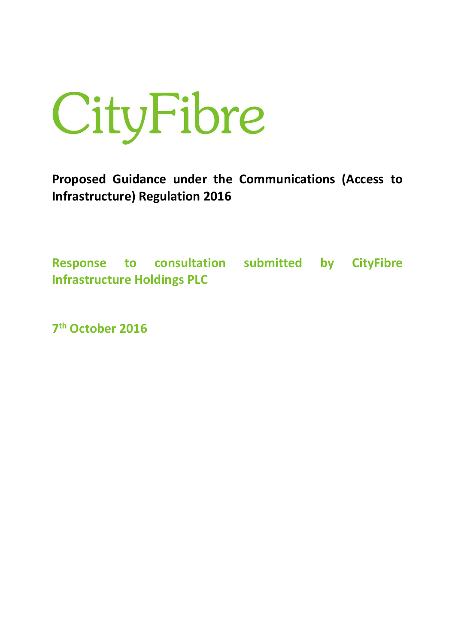

**Proposed Guidance under the Communications (Access to Infrastructure) Regulation 2016** 

**Response to consultation submitted by CityFibre Infrastructure Holdings PLC**

**7 th October 2016**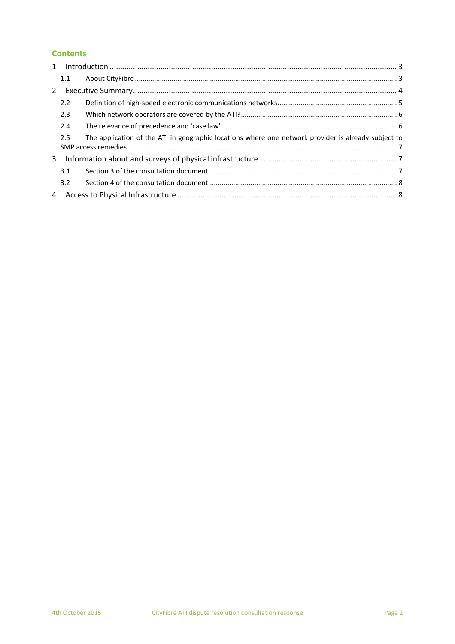# **Contents**

|                | 1.1 |                                                                                                     |  |
|----------------|-----|-----------------------------------------------------------------------------------------------------|--|
| 2              |     |                                                                                                     |  |
|                | 2.2 |                                                                                                     |  |
|                | 2.3 |                                                                                                     |  |
|                | 2.4 |                                                                                                     |  |
|                | 2.5 | The application of the ATI in geographic locations where one network provider is already subject to |  |
|                |     |                                                                                                     |  |
|                | 3.1 |                                                                                                     |  |
|                | 3.2 |                                                                                                     |  |
| $\overline{4}$ |     |                                                                                                     |  |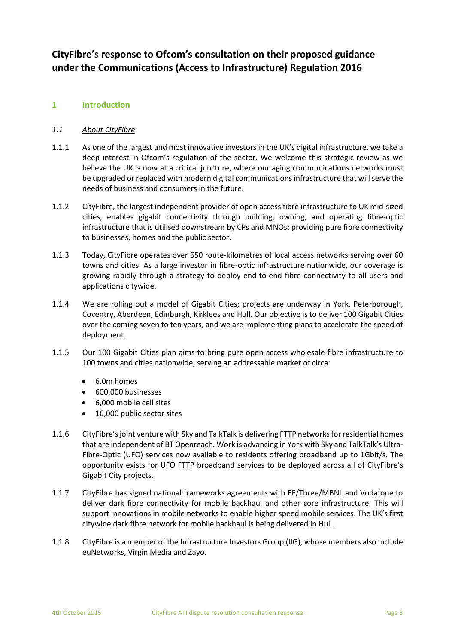# **CityFibre's response to Ofcom's consultation on their proposed guidance under the Communications (Access to Infrastructure) Regulation 2016**

# **1 Introduction**

## *1.1 About CityFibre*

- 1.1.1 As one of the largest and most innovative investors in the UK's digital infrastructure, we take a deep interest in Ofcom's regulation of the sector. We welcome this strategic review as we believe the UK is now at a critical juncture, where our aging communications networks must be upgraded or replaced with modern digital communications infrastructure that will serve the needs of business and consumers in the future.
- 1.1.2 CityFibre, the largest independent provider of open access fibre infrastructure to UK mid-sized cities, enables gigabit connectivity through building, owning, and operating fibre-optic infrastructure that is utilised downstream by CPs and MNOs; providing pure fibre connectivity to businesses, homes and the public sector.
- 1.1.3 Today, CityFibre operates over 650 route-kilometres of local access networks serving over 60 towns and cities. As a large investor in fibre-optic infrastructure nationwide, our coverage is growing rapidly through a strategy to deploy end-to-end fibre connectivity to all users and applications citywide.
- 1.1.4 We are rolling out a model of Gigabit Cities; projects are underway in York, Peterborough, Coventry, Aberdeen, Edinburgh, Kirklees and Hull. Our objective is to deliver 100 Gigabit Cities over the coming seven to ten years, and we are implementing plans to accelerate the speed of deployment.
- 1.1.5 Our 100 Gigabit Cities plan aims to bring pure open access wholesale fibre infrastructure to 100 towns and cities nationwide, serving an addressable market of circa:
	- 6.0m homes
	- 600,000 businesses
	- 6,000 mobile cell sites
	- 16,000 public sector sites
- 1.1.6 CityFibre'sjoint venture with Sky and TalkTalk is delivering FTTP networks for residential homes that are independent of BT Openreach. Work is advancing in York with Sky and TalkTalk's Ultra-Fibre-Optic (UFO) services now available to residents offering broadband up to 1Gbit/s. The opportunity exists for UFO FTTP broadband services to be deployed across all of CityFibre's Gigabit City projects.
- 1.1.7 CityFibre has signed national frameworks agreements with EE/Three/MBNL and Vodafone to deliver dark fibre connectivity for mobile backhaul and other core infrastructure. This will support innovations in mobile networks to enable higher speed mobile services. The UK's first citywide dark fibre network for mobile backhaul is being delivered in Hull.
- 1.1.8 CityFibre is a member of the Infrastructure Investors Group (IIG), whose members also include euNetworks, Virgin Media and Zayo.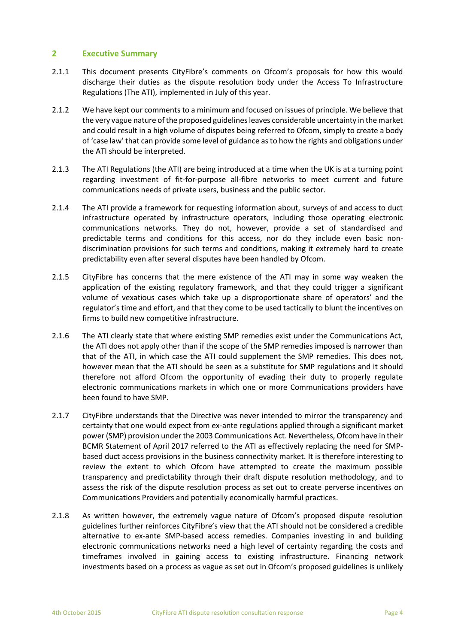## **2 Executive Summary**

- 2.1.1 This document presents CityFibre's comments on Ofcom's proposals for how this would discharge their duties as the dispute resolution body under the Access To Infrastructure Regulations (The ATI), implemented in July of this year.
- 2.1.2 We have kept our comments to a minimum and focused on issues of principle. We believe that the very vague nature of the proposed guidelines leaves considerable uncertainty in the market and could result in a high volume of disputes being referred to Ofcom, simply to create a body of 'case law' that can provide some level of guidance as to how the rights and obligations under the ATI should be interpreted.
- 2.1.3 The ATI Regulations (the ATI) are being introduced at a time when the UK is at a turning point regarding investment of fit-for-purpose all-fibre networks to meet current and future communications needs of private users, business and the public sector.
- 2.1.4 The ATI provide a framework for requesting information about, surveys of and access to duct infrastructure operated by infrastructure operators, including those operating electronic communications networks. They do not, however, provide a set of standardised and predictable terms and conditions for this access, nor do they include even basic nondiscrimination provisions for such terms and conditions, making it extremely hard to create predictability even after several disputes have been handled by Ofcom.
- 2.1.5 CityFibre has concerns that the mere existence of the ATI may in some way weaken the application of the existing regulatory framework, and that they could trigger a significant volume of vexatious cases which take up a disproportionate share of operators' and the regulator's time and effort, and that they come to be used tactically to blunt the incentives on firms to build new competitive infrastructure.
- 2.1.6 The ATI clearly state that where existing SMP remedies exist under the Communications Act, the ATI does not apply other than if the scope of the SMP remedies imposed is narrower than that of the ATI, in which case the ATI could supplement the SMP remedies. This does not, however mean that the ATI should be seen as a substitute for SMP regulations and it should therefore not afford Ofcom the opportunity of evading their duty to properly regulate electronic communications markets in which one or more Communications providers have been found to have SMP.
- 2.1.7 CityFibre understands that the Directive was never intended to mirror the transparency and certainty that one would expect from ex-ante regulations applied through a significant market power (SMP) provision under the 2003 Communications Act. Nevertheless, Ofcom have in their BCMR Statement of April 2017 referred to the ATI as effectively replacing the need for SMPbased duct access provisions in the business connectivity market. It is therefore interesting to review the extent to which Ofcom have attempted to create the maximum possible transparency and predictability through their draft dispute resolution methodology, and to assess the risk of the dispute resolution process as set out to create perverse incentives on Communications Providers and potentially economically harmful practices.
- 2.1.8 As written however, the extremely vague nature of Ofcom's proposed dispute resolution guidelines further reinforces CityFibre's view that the ATI should not be considered a credible alternative to ex-ante SMP-based access remedies. Companies investing in and building electronic communications networks need a high level of certainty regarding the costs and timeframes involved in gaining access to existing infrastructure. Financing network investments based on a process as vague as set out in Ofcom's proposed guidelines is unlikely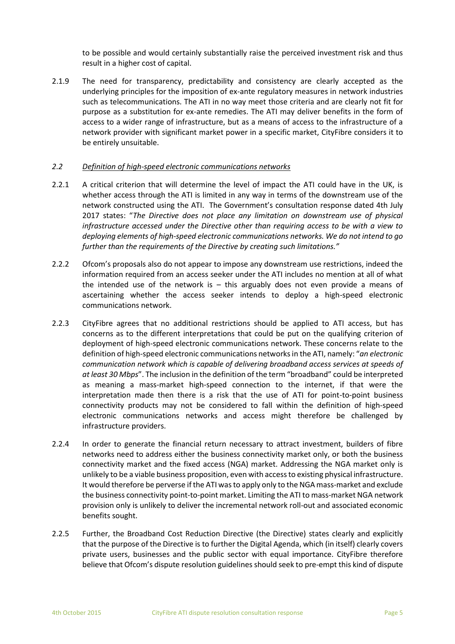to be possible and would certainly substantially raise the perceived investment risk and thus result in a higher cost of capital.

2.1.9 The need for transparency, predictability and consistency are clearly accepted as the underlying principles for the imposition of ex-ante regulatory measures in network industries such as telecommunications. The ATI in no way meet those criteria and are clearly not fit for purpose as a substitution for ex-ante remedies. The ATI may deliver benefits in the form of access to a wider range of infrastructure, but as a means of access to the infrastructure of a network provider with significant market power in a specific market, CityFibre considers it to be entirely unsuitable.

## *2.2 Definition of high-speed electronic communications networks*

- 2.2.1 A critical criterion that will determine the level of impact the ATI could have in the UK, is whether access through the ATI is limited in any way in terms of the downstream use of the network constructed using the ATI. The Government's consultation response dated 4th July 2017 states: "*The Directive does not place any limitation on downstream use of physical infrastructure accessed under the Directive other than requiring access to be with a view to deploying elements of high-speed electronic communications networks. We do not intend to go further than the requirements of the Directive by creating such limitations."*
- 2.2.2 Ofcom's proposals also do not appear to impose any downstream use restrictions, indeed the information required from an access seeker under the ATI includes no mention at all of what the intended use of the network is  $-$  this arguably does not even provide a means of ascertaining whether the access seeker intends to deploy a high-speed electronic communications network.
- 2.2.3 CityFibre agrees that no additional restrictions should be applied to ATI access, but has concerns as to the different interpretations that could be put on the qualifying criterion of deployment of high-speed electronic communications network. These concerns relate to the definition of high-speed electronic communications networks in the ATI, namely: "*an electronic communication network which is capable of delivering broadband access services at speeds of at least 30 Mbps*". The inclusion in the definition of the term "broadband" could be interpreted as meaning a mass-market high-speed connection to the internet, if that were the interpretation made then there is a risk that the use of ATI for point-to-point business connectivity products may not be considered to fall within the definition of high-speed electronic communications networks and access might therefore be challenged by infrastructure providers.
- 2.2.4 In order to generate the financial return necessary to attract investment, builders of fibre networks need to address either the business connectivity market only, or both the business connectivity market and the fixed access (NGA) market. Addressing the NGA market only is unlikely to be a viable business proposition, even with access to existing physical infrastructure. It would therefore be perverse if the ATI was to apply only to the NGA mass-market and exclude the business connectivity point-to-point market. Limiting the ATI to mass-market NGA network provision only is unlikely to deliver the incremental network roll-out and associated economic benefits sought.
- 2.2.5 Further, the Broadband Cost Reduction Directive (the Directive) states clearly and explicitly that the purpose of the Directive is to further the Digital Agenda, which (in itself) clearly covers private users, businesses and the public sector with equal importance. CityFibre therefore believe that Ofcom's dispute resolution guidelines should seek to pre-empt this kind of dispute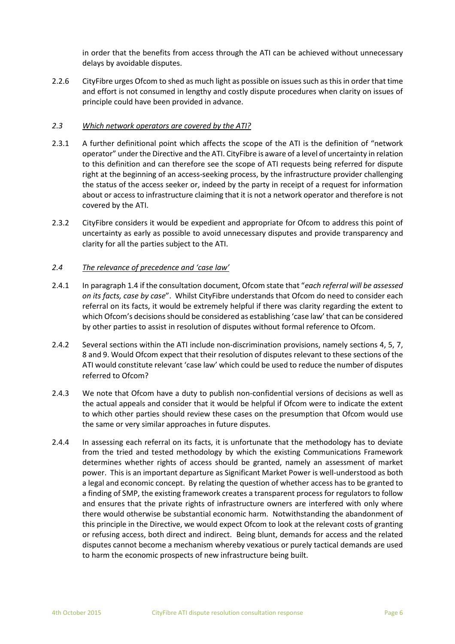in order that the benefits from access through the ATI can be achieved without unnecessary delays by avoidable disputes.

2.2.6 CityFibre urges Ofcom to shed as much light as possible on issues such as this in order that time and effort is not consumed in lengthy and costly dispute procedures when clarity on issues of principle could have been provided in advance.

## *2.3 Which network operators are covered by the ATI?*

- 2.3.1 A further definitional point which affects the scope of the ATI is the definition of "network operator" under the Directive and the ATI. CityFibre is aware of a level of uncertainty in relation to this definition and can therefore see the scope of ATI requests being referred for dispute right at the beginning of an access-seeking process, by the infrastructure provider challenging the status of the access seeker or, indeed by the party in receipt of a request for information about or access to infrastructure claiming that it is not a network operator and therefore is not covered by the ATI.
- 2.3.2 CityFibre considers it would be expedient and appropriate for Ofcom to address this point of uncertainty as early as possible to avoid unnecessary disputes and provide transparency and clarity for all the parties subject to the ATI.

## *2.4 The relevance of precedence and 'case law'*

- 2.4.1 In paragraph 1.4 if the consultation document, Ofcom state that "*each referral will be assessed on its facts, case by case*". Whilst CityFibre understands that Ofcom do need to consider each referral on its facts, it would be extremely helpful if there was clarity regarding the extent to which Ofcom's decisions should be considered as establishing 'case law' that can be considered by other parties to assist in resolution of disputes without formal reference to Ofcom.
- 2.4.2 Several sections within the ATI include non-discrimination provisions, namely sections 4, 5, 7, 8 and 9. Would Ofcom expect that their resolution of disputes relevant to these sections of the ATI would constitute relevant 'case law' which could be used to reduce the number of disputes referred to Ofcom?
- 2.4.3 We note that Ofcom have a duty to publish non-confidential versions of decisions as well as the actual appeals and consider that it would be helpful if Ofcom were to indicate the extent to which other parties should review these cases on the presumption that Ofcom would use the same or very similar approaches in future disputes.
- 2.4.4 In assessing each referral on its facts, it is unfortunate that the methodology has to deviate from the tried and tested methodology by which the existing Communications Framework determines whether rights of access should be granted, namely an assessment of market power. This is an important departure as Significant Market Power is well-understood as both a legal and economic concept. By relating the question of whether access has to be granted to a finding of SMP, the existing framework creates a transparent process for regulators to follow and ensures that the private rights of infrastructure owners are interfered with only where there would otherwise be substantial economic harm. Notwithstanding the abandonment of this principle in the Directive, we would expect Ofcom to look at the relevant costs of granting or refusing access, both direct and indirect. Being blunt, demands for access and the related disputes cannot become a mechanism whereby vexatious or purely tactical demands are used to harm the economic prospects of new infrastructure being built.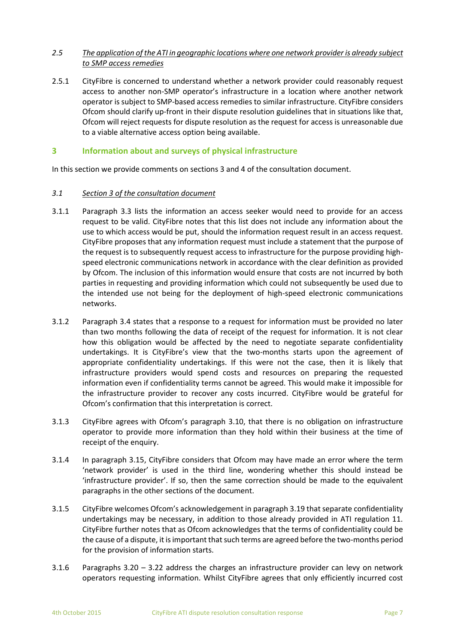# *2.5 The application of the ATI in geographic locations where one network provider is already subject to SMP access remedies*

2.5.1 CityFibre is concerned to understand whether a network provider could reasonably request access to another non-SMP operator's infrastructure in a location where another network operator is subject to SMP-based access remedies to similar infrastructure. CityFibre considers Ofcom should clarify up-front in their dispute resolution guidelines that in situations like that, Ofcom will reject requests for dispute resolution as the request for access is unreasonable due to a viable alternative access option being available.

# **3 Information about and surveys of physical infrastructure**

In this section we provide comments on sections 3 and 4 of the consultation document.

## *3.1 Section 3 of the consultation document*

- 3.1.1 Paragraph 3.3 lists the information an access seeker would need to provide for an access request to be valid. CityFibre notes that this list does not include any information about the use to which access would be put, should the information request result in an access request. CityFibre proposes that any information request must include a statement that the purpose of the request is to subsequently request access to infrastructure for the purpose providing highspeed electronic communications network in accordance with the clear definition as provided by Ofcom. The inclusion of this information would ensure that costs are not incurred by both parties in requesting and providing information which could not subsequently be used due to the intended use not being for the deployment of high-speed electronic communications networks.
- 3.1.2 Paragraph 3.4 states that a response to a request for information must be provided no later than two months following the data of receipt of the request for information. It is not clear how this obligation would be affected by the need to negotiate separate confidentiality undertakings. It is CityFibre's view that the two-months starts upon the agreement of appropriate confidentiality undertakings. If this were not the case, then it is likely that infrastructure providers would spend costs and resources on preparing the requested information even if confidentiality terms cannot be agreed. This would make it impossible for the infrastructure provider to recover any costs incurred. CityFibre would be grateful for Ofcom's confirmation that this interpretation is correct.
- 3.1.3 CityFibre agrees with Ofcom's paragraph 3.10, that there is no obligation on infrastructure operator to provide more information than they hold within their business at the time of receipt of the enquiry.
- 3.1.4 In paragraph 3.15, CityFibre considers that Ofcom may have made an error where the term 'network provider' is used in the third line, wondering whether this should instead be 'infrastructure provider'. If so, then the same correction should be made to the equivalent paragraphs in the other sections of the document.
- 3.1.5 CityFibre welcomes Ofcom's acknowledgement in paragraph 3.19 that separate confidentiality undertakings may be necessary, in addition to those already provided in ATI regulation 11. CityFibre further notes that as Ofcom acknowledges that the terms of confidentiality could be the cause of a dispute, it is important that such terms are agreed before the two-months period for the provision of information starts.
- 3.1.6 Paragraphs 3.20 3.22 address the charges an infrastructure provider can levy on network operators requesting information. Whilst CityFibre agrees that only efficiently incurred cost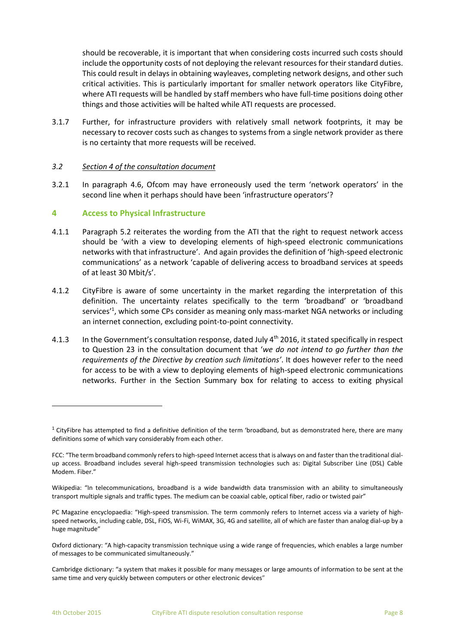should be recoverable, it is important that when considering costs incurred such costs should include the opportunity costs of not deploying the relevant resources for their standard duties. This could result in delays in obtaining wayleaves, completing network designs, and other such critical activities. This is particularly important for smaller network operators like CityFibre, where ATI requests will be handled by staff members who have full-time positions doing other things and those activities will be halted while ATI requests are processed.

3.1.7 Further, for infrastructure providers with relatively small network footprints, it may be necessary to recover costs such as changes to systems from a single network provider as there is no certainty that more requests will be received.

## *3.2 Section 4 of the consultation document*

3.2.1 In paragraph 4.6, Ofcom may have erroneously used the term 'network operators' in the second line when it perhaps should have been 'infrastructure operators'?

## **4 Access to Physical Infrastructure**

- 4.1.1 Paragraph 5.2 reiterates the wording from the ATI that the right to request network access should be 'with a view to developing elements of high-speed electronic communications networks with that infrastructure'. And again provides the definition of 'high-speed electronic communications' as a network 'capable of delivering access to broadband services at speeds of at least 30 Mbit/s'.
- 4.1.2 CityFibre is aware of some uncertainty in the market regarding the interpretation of this definition. The uncertainty relates specifically to the term 'broadband' or 'broadband services<sup>'1</sup>, which some CPs consider as meaning only mass-market NGA networks or including an internet connection, excluding point-to-point connectivity.
- 4.1.3 In the Government's consultation response, dated July 4<sup>th</sup> 2016, it stated specifically in respect to Question 23 in the consultation document that '*we do not intend to go further than the requirements of the Directive by creation such limitations'*. It does however refer to the need for access to be with a view to deploying elements of high-speed electronic communications networks. Further in the Section Summary box for relating to access to exiting physical

 $\overline{a}$ 

 $1$  CityFibre has attempted to find a definitive definition of the term 'broadband, but as demonstrated here, there are many definitions some of which vary considerably from each other.

FCC: "The term broadband commonly refers to high-speed Internet access that is always on and faster than the traditional dialup access. Broadband includes several high-speed transmission technologies such as: Digital Subscriber Line (DSL) Cable Modem. Fiber."

Wikipedia: "In telecommunications, broadband is a wide bandwidth data transmission with an ability to simultaneously transport multiple signals and traffic types. The medium can be coaxial cable, optical fiber, radio or twisted pair"

PC Magazine encyclopaedia: "High-speed transmission. The term commonly refers to Internet access via a variety of highspeed networks, including cable, DSL, FiOS, Wi-Fi, WiMAX, 3G, 4G and satellite, all of which are faster than analog dial-up by a huge magnitude"

Oxford dictionary: "A high-capacity transmission technique using a wide range of frequencies, which enables a large number of messages to be communicated simultaneously."

Cambridge dictionary: "a [system](http://dictionary.cambridge.org/dictionary/english/system) that makes it [possible](http://dictionary.cambridge.org/dictionary/english/possible) for man[y messages](http://dictionary.cambridge.org/dictionary/english/message) o[r large](http://dictionary.cambridge.org/dictionary/english/large) [amounts](http://dictionary.cambridge.org/dictionary/english/amount) of [information](http://dictionary.cambridge.org/dictionary/english/information) to b[e sent](http://dictionary.cambridge.org/dictionary/english/sent) at the sam[e time](http://dictionary.cambridge.org/dictionary/english/time) and very [quickly](http://dictionary.cambridge.org/dictionary/english/quickly) between [computers](http://dictionary.cambridge.org/dictionary/english/computer) or othe[r electronic](http://dictionary.cambridge.org/dictionary/english/electronic) [devices](http://dictionary.cambridge.org/dictionary/english/device)"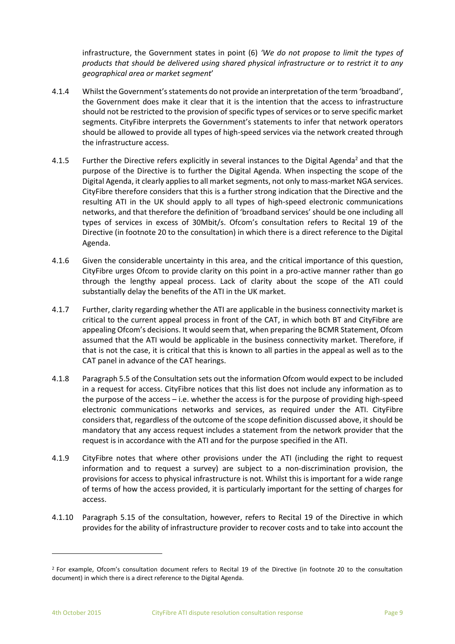infrastructure, the Government states in point (6) *'We do not propose to limit the types of products that should be delivered using shared physical infrastructure or to restrict it to any geographical area or market segment*'

- 4.1.4 Whilst the Government's statements do not provide an interpretation of the term 'broadband', the Government does make it clear that it is the intention that the access to infrastructure should not be restricted to the provision of specific types of services or to serve specific market segments. CityFibre interprets the Government's statements to infer that network operators should be allowed to provide all types of high-speed services via the network created through the infrastructure access.
- 4.1.5 Further the Directive refers explicitly in several instances to the Digital Agenda<sup>2</sup> and that the purpose of the Directive is to further the Digital Agenda. When inspecting the scope of the Digital Agenda, it clearly applies to all market segments, not only to mass-market NGA services. CityFibre therefore considers that this is a further strong indication that the Directive and the resulting ATI in the UK should apply to all types of high-speed electronic communications networks, and that therefore the definition of 'broadband services' should be one including all types of services in excess of 30Mbit/s. Ofcom's consultation refers to Recital 19 of the Directive (in footnote 20 to the consultation) in which there is a direct reference to the Digital Agenda.
- 4.1.6 Given the considerable uncertainty in this area, and the critical importance of this question, CityFibre urges Ofcom to provide clarity on this point in a pro-active manner rather than go through the lengthy appeal process. Lack of clarity about the scope of the ATI could substantially delay the benefits of the ATI in the UK market.
- 4.1.7 Further, clarity regarding whether the ATI are applicable in the business connectivity market is critical to the current appeal process in front of the CAT, in which both BT and CityFibre are appealing Ofcom's decisions. It would seem that, when preparing the BCMR Statement, Ofcom assumed that the ATI would be applicable in the business connectivity market. Therefore, if that is not the case, it is critical that this is known to all parties in the appeal as well as to the CAT panel in advance of the CAT hearings.
- 4.1.8 Paragraph 5.5 of the Consultation sets out the information Ofcom would expect to be included in a request for access. CityFibre notices that this list does not include any information as to the purpose of the access – i.e. whether the access is for the purpose of providing high-speed electronic communications networks and services, as required under the ATI. CityFibre considers that, regardless of the outcome of the scope definition discussed above, it should be mandatory that any access request includes a statement from the network provider that the request is in accordance with the ATI and for the purpose specified in the ATI.
- 4.1.9 CityFibre notes that where other provisions under the ATI (including the right to request information and to request a survey) are subject to a non-discrimination provision, the provisions for access to physical infrastructure is not. Whilst this is important for a wide range of terms of how the access provided, it is particularly important for the setting of charges for access.
- 4.1.10 Paragraph 5.15 of the consultation, however, refers to Recital 19 of the Directive in which provides for the ability of infrastructure provider to recover costs and to take into account the

 $\overline{a}$ 

<sup>&</sup>lt;sup>2</sup> For example, Ofcom's consultation document refers to Recital 19 of the Directive (in footnote 20 to the consultation document) in which there is a direct reference to the Digital Agenda.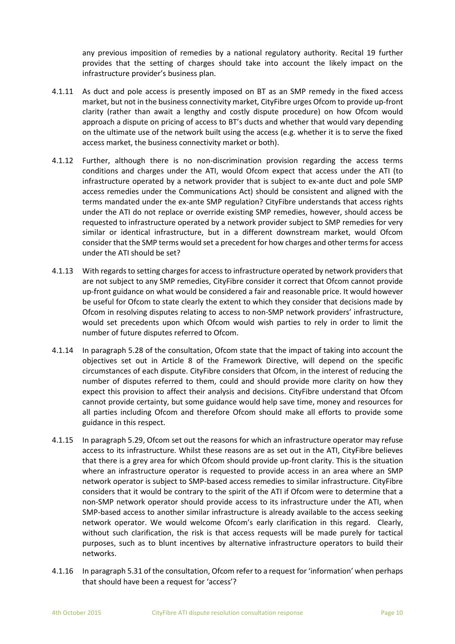any previous imposition of remedies by a national regulatory authority. Recital 19 further provides that the setting of charges should take into account the likely impact on the infrastructure provider's business plan.

- 4.1.11 As duct and pole access is presently imposed on BT as an SMP remedy in the fixed access market, but not in the business connectivity market, CityFibre urges Ofcom to provide up-front clarity (rather than await a lengthy and costly dispute procedure) on how Ofcom would approach a dispute on pricing of access to BT's ducts and whether that would vary depending on the ultimate use of the network built using the access (e.g. whether it is to serve the fixed access market, the business connectivity market or both).
- 4.1.12 Further, although there is no non-discrimination provision regarding the access terms conditions and charges under the ATI, would Ofcom expect that access under the ATI (to infrastructure operated by a network provider that is subject to ex-ante duct and pole SMP access remedies under the Communications Act) should be consistent and aligned with the terms mandated under the ex-ante SMP regulation? CityFibre understands that access rights under the ATI do not replace or override existing SMP remedies, however, should access be requested to infrastructure operated by a network provider subject to SMP remedies for very similar or identical infrastructure, but in a different downstream market, would Ofcom consider that the SMP terms would set a precedent for how charges and other terms for access under the ATI should be set?
- 4.1.13 With regards to setting charges for access to infrastructure operated by network providers that are not subject to any SMP remedies, CityFibre consider it correct that Ofcom cannot provide up-front guidance on what would be considered a fair and reasonable price. It would however be useful for Ofcom to state clearly the extent to which they consider that decisions made by Ofcom in resolving disputes relating to access to non-SMP network providers' infrastructure, would set precedents upon which Ofcom would wish parties to rely in order to limit the number of future disputes referred to Ofcom.
- 4.1.14 In paragraph 5.28 of the consultation, Ofcom state that the impact of taking into account the objectives set out in Article 8 of the Framework Directive, will depend on the specific circumstances of each dispute. CityFibre considers that Ofcom, in the interest of reducing the number of disputes referred to them, could and should provide more clarity on how they expect this provision to affect their analysis and decisions. CityFibre understand that Ofcom cannot provide certainty, but some guidance would help save time, money and resources for all parties including Ofcom and therefore Ofcom should make all efforts to provide some guidance in this respect.
- 4.1.15 In paragraph 5.29, Ofcom set out the reasons for which an infrastructure operator may refuse access to its infrastructure. Whilst these reasons are as set out in the ATI, CityFibre believes that there is a grey area for which Ofcom should provide up-front clarity. This is the situation where an infrastructure operator is requested to provide access in an area where an SMP network operator is subject to SMP-based access remedies to similar infrastructure. CityFibre considers that it would be contrary to the spirit of the ATI if Ofcom were to determine that a non-SMP network operator should provide access to its infrastructure under the ATI, when SMP-based access to another similar infrastructure is already available to the access seeking network operator. We would welcome Ofcom's early clarification in this regard. Clearly, without such clarification, the risk is that access requests will be made purely for tactical purposes, such as to blunt incentives by alternative infrastructure operators to build their networks.
- 4.1.16 In paragraph 5.31 of the consultation, Ofcom refer to a request for 'information' when perhaps that should have been a request for 'access'?